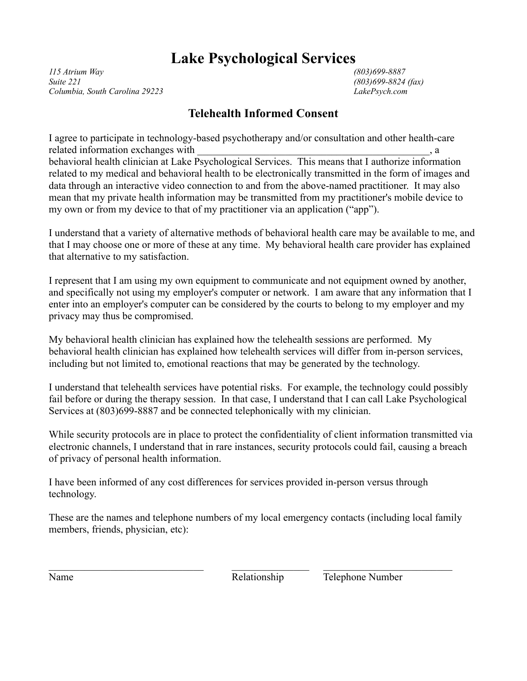## **Lake Psychological Services**

*115 Atrium Way (803)699-8887 Suite 221 (803)699-8824 (fax) Columbia, South Carolina 29223 LakePsych.com*

## **Telehealth Informed Consent**

I agree to participate in technology-based psychotherapy and/or consultation and other health-care related information exchanges with  $\Box$ behavioral health clinician at Lake Psychological Services. This means that I authorize information related to my medical and behavioral health to be electronically transmitted in the form of images and data through an interactive video connection to and from the above-named practitioner. It may also mean that my private health information may be transmitted from my practitioner's mobile device to my own or from my device to that of my practitioner via an application ("app").

I understand that a variety of alternative methods of behavioral health care may be available to me, and that I may choose one or more of these at any time. My behavioral health care provider has explained that alternative to my satisfaction.

I represent that I am using my own equipment to communicate and not equipment owned by another, and specifically not using my employer's computer or network. I am aware that any information that I enter into an employer's computer can be considered by the courts to belong to my employer and my privacy may thus be compromised.

My behavioral health clinician has explained how the telehealth sessions are performed. My behavioral health clinician has explained how telehealth services will differ from in-person services, including but not limited to, emotional reactions that may be generated by the technology.

I understand that telehealth services have potential risks. For example, the technology could possibly fail before or during the therapy session. In that case, I understand that I can call Lake Psychological Services at (803)699-8887 and be connected telephonically with my clinician.

While security protocols are in place to protect the confidentiality of client information transmitted via electronic channels, I understand that in rare instances, security protocols could fail, causing a breach of privacy of personal health information.

I have been informed of any cost differences for services provided in-person versus through technology.

These are the names and telephone numbers of my local emergency contacts (including local family members, friends, physician, etc):

Name Relationship Telephone Number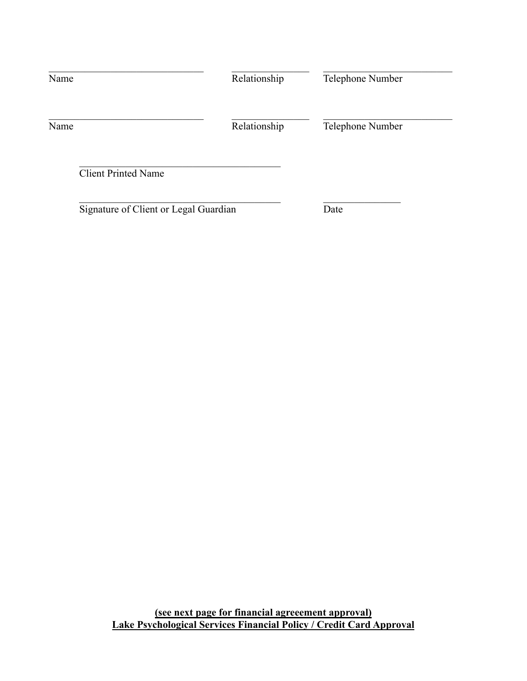| Name                                  | Relationship | Telephone Number |  |
|---------------------------------------|--------------|------------------|--|
| Name                                  | Relationship | Telephone Number |  |
| <b>Client Printed Name</b>            |              |                  |  |
| Signature of Client or Legal Guardian |              | Date             |  |